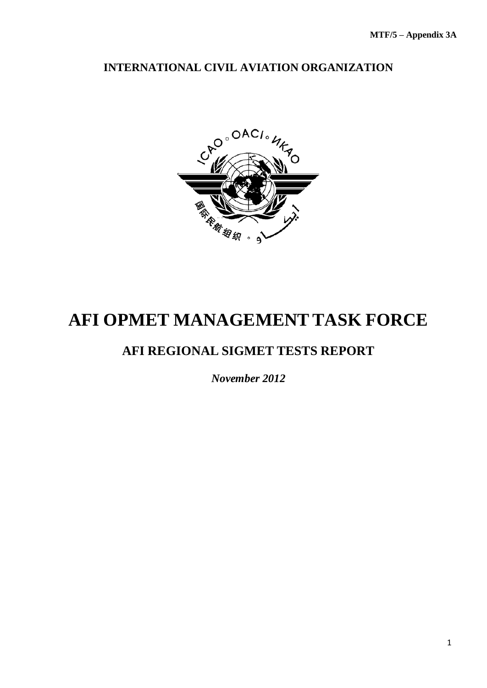## **INTERNATIONAL CIVIL AVIATION ORGANIZATION**



# **AFI OPMET MANAGEMENT TASK FORCE**

## **AFI REGIONAL SIGMET TESTS REPORT**

*November 2012*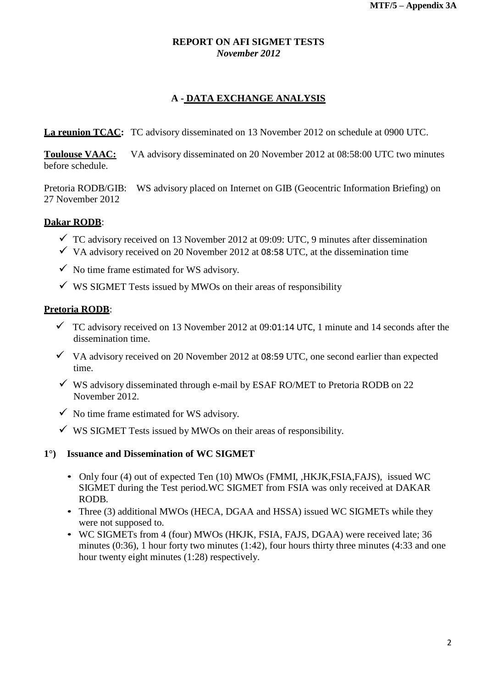## **REPORT ON AFI SIGMET TESTS** *November 2012*

## **A - DATA EXCHANGE ANALYSIS**

**La reunion TCAC:** TC advisory disseminated on 13 November 2012 on schedule at 0900 UTC.

**Toulouse VAAC:** VA advisory disseminated on 20 November 2012 at 08:58:00 UTC two minutes before schedule.

Pretoria RODB/GIB: WS advisory placed on Internet on GIB (Geocentric Information Briefing) on 27 November 2012

## **Dakar RODB**:

- $\checkmark$  TC advisory received on 13 November 2012 at 09:09: UTC, 9 minutes after dissemination
- $\checkmark$  VA advisory received on 20 November 2012 at 08:58 UTC, at the dissemination time
- $\checkmark$  No time frame estimated for WS advisory.
- $\checkmark$  WS SIGMET Tests issued by MWOs on their areas of responsibility

#### **Pretoria RODB**:

- $\checkmark$  TC advisory received on 13 November 2012 at 09:01:14 UTC, 1 minute and 14 seconds after the dissemination time.
- $\checkmark$  VA advisory received on 20 November 2012 at 08:59 UTC, one second earlier than expected time.
- $\checkmark$  WS advisory disseminated through e-mail by ESAF RO/MET to Pretoria RODB on 22 November 2012.
- $\checkmark$  No time frame estimated for WS advisory.
- $\checkmark$  WS SIGMET Tests issued by MWOs on their areas of responsibility.

#### **1°) Issuance and Dissemination of WC SIGMET**

- Only four (4) out of expected Ten (10) MWOs (FMMI, HKJK,FSIA,FAJS), issued WC SIGMET during the Test period*.*WC SIGMET from FSIA was only received at DAKAR RODB.
- Three (3) additional MWOs (HECA, DGAA and HSSA) issued WC SIGMETs while they were not supposed to.
- WC SIGMETs from 4 (four) MWOs (HKJK, FSIA, FAJS, DGAA) were received late; 36 minutes (0:36), 1 hour forty two minutes (1:42), four hours thirty three minutes (4:33 and one hour twenty eight minutes (1:28) respectively.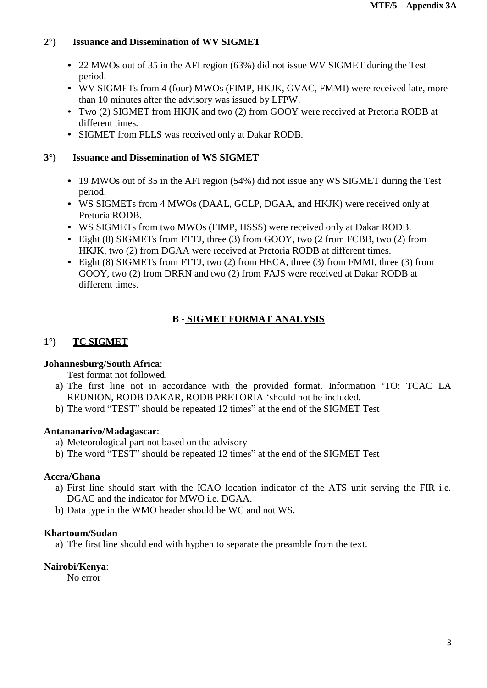## **2°) Issuance and Dissemination of WV SIGMET**

- 22 MWOs out of 35 in the AFI region (63%) did not issue WV SIGMET during the Test period.
- WV SIGMETs from 4 (four) MWOs (FIMP, HKJK, GVAC, FMMI) were received late, more than 10 minutes after the advisory was issued by LFPW.
- Two (2) SIGMET from HKJK and two (2) from GOOY were received at Pretoria RODB at different times*.*
- SIGMET from FLLS was received only at Dakar RODB.

## **3°) Issuance and Dissemination of WS SIGMET**

- 19 MWOs out of 35 in the AFI region (54%) did not issue any WS SIGMET during the Test period.
- WS SIGMETs from 4 MWOs (DAAL, GCLP, DGAA, and HKJK) were received only at Pretoria RODB.
- WS SIGMETs from two MWOs (FIMP, HSSS) were received only at Dakar RODB.
- Eight (8) SIGMETs from FTTJ, three (3) from GOOY, two (2 from FCBB, two (2) from HKJK, two (2) from DGAA were received at Pretoria RODB at different times.
- Eight (8) SIGMETs from FTTJ, two (2) from HECA, three (3) from FMMI, three (3) from GOOY, two (2) from DRRN and two (2) from FAJS were received at Dakar RODB at different times.

## **B - SIGMET FORMAT ANALYSIS**

## **1°) TC SIGMET**

#### **Johannesburg/South Africa**:

Test format not followed.

- a) The first line not in accordance with the provided format. Information 'TO: TCAC LA REUNION, RODB DAKAR, RODB PRETORIA 'should not be included.
- b) The word "TEST" should be repeated 12 times" at the end of the SIGMET Test

#### **Antananarivo/Madagascar**:

- a) Meteorological part not based on the advisory
- b) The word "TEST" should be repeated 12 times" at the end of the SIGMET Test

#### **Accra/Ghana**

- a) First line should start with the ICAO location indicator of the ATS unit serving the FIR i.e. DGAC and the indicator for MWO i.e. DGAA.
- b) Data type in the WMO header should be WC and not WS.

#### **Khartoum/Sudan**

a) The first line should end with hyphen to separate the preamble from the text.

## **Nairobi/Kenya**:

No error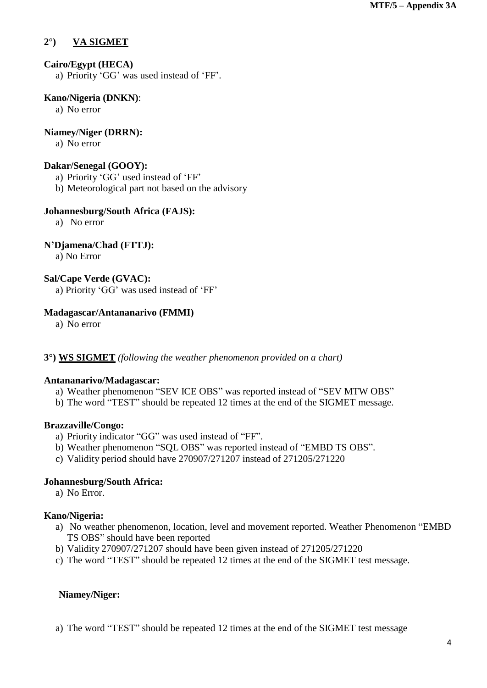## **2°) VA SIGMET**

#### **Cairo/Egypt (HECA)**

a) Priority 'GG' was used instead of 'FF'.

#### **Kano/Nigeria (DNKN)**:

a) No error

## **Niamey/Niger (DRRN):**

a) No error

#### **Dakar/Senegal (GOOY):**

- a) Priority 'GG' used instead of 'FF'
- b) Meteorological part not based on the advisory

#### **Johannesburg/South Africa (FAJS):**

a) No error

#### **N'Djamena/Chad (FTTJ):**

a) No Error

#### **Sal/Cape Verde (GVAC):**

a) Priority 'GG' was used instead of 'FF'

#### **Madagascar/Antananarivo (FMMI)**

a) No error

#### **3°) WS SIGMET** *(following the weather phenomenon provided on a chart)*

#### **Antananarivo/Madagascar:**

- a) Weather phenomenon "SEV ICE OBS" was reported instead of "SEV MTW OBS"
- b) The word "TEST" should be repeated 12 times at the end of the SIGMET message.

#### **Brazzaville/Congo:**

- a) Priority indicator "GG" was used instead of "FF".
- b) Weather phenomenon "SQL OBS" was reported instead of "EMBD TS OBS".
- c) Validity period should have 270907/271207 instead of 271205/271220

#### **Johannesburg/South Africa:**

a) No Error.

#### **Kano/Nigeria:**

- a) No weather phenomenon, location, level and movement reported. Weather Phenomenon "EMBD TS OBS" should have been reported
- b) Validity 270907/271207 should have been given instead of 271205/271220
- c) The word "TEST" should be repeated 12 times at the end of the SIGMET test message.

#### **Niamey/Niger:**

a) The word "TEST" should be repeated 12 times at the end of the SIGMET test message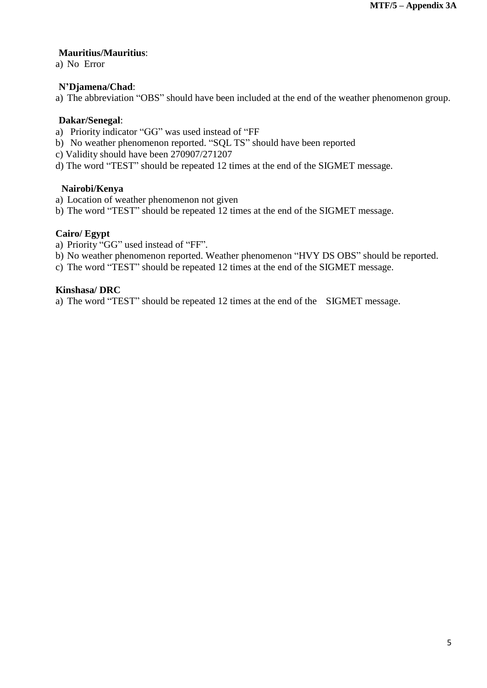#### **Mauritius/Mauritius**:

a) No Error

## **N'Djamena/Chad**:

a) The abbreviation "OBS" should have been included at the end of the weather phenomenon group.

## **Dakar/Senegal**:

- a) Priority indicator "GG" was used instead of "FF
- b) No weather phenomenon reported. "SQL TS" should have been reported
- c) Validity should have been 270907/271207
- d) The word "TEST" should be repeated 12 times at the end of the SIGMET message.

## **Nairobi/Kenya**

- a) Location of weather phenomenon not given
- b) The word "TEST" should be repeated 12 times at the end of the SIGMET message.

## **Cairo/ Egypt**

- a) Priority "GG" used instead of "FF".
- b) No weather phenomenon reported. Weather phenomenon "HVY DS OBS" should be reported.
- c) The word "TEST" should be repeated 12 times at the end of the SIGMET message.

#### **Kinshasa/ DRC**

a) The word "TEST" should be repeated 12 times at the end of the SIGMET message.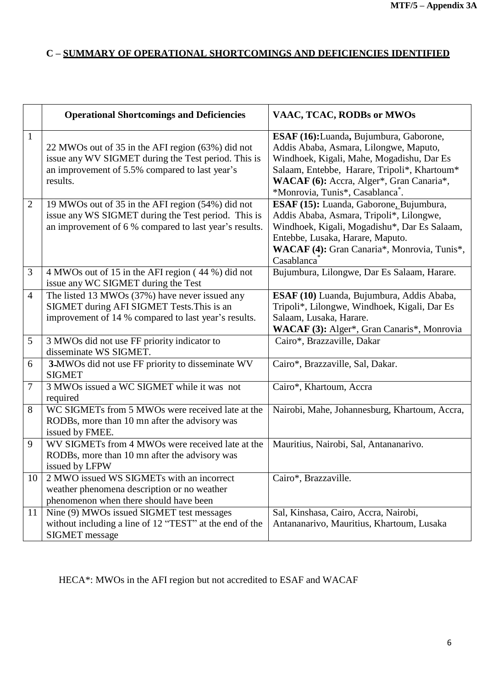## **C – SUMMARY OF OPERATIONAL SHORTCOMINGS AND DEFICIENCIES IDENTIFIED**

|                | <b>Operational Shortcomings and Deficiencies</b>                                                                                                                       | VAAC, TCAC, RODBs or MWOs                                                                                                                                                                                                                                                  |
|----------------|------------------------------------------------------------------------------------------------------------------------------------------------------------------------|----------------------------------------------------------------------------------------------------------------------------------------------------------------------------------------------------------------------------------------------------------------------------|
| $\mathbf{1}$   | 22 MWOs out of 35 in the AFI region (63%) did not<br>issue any WV SIGMET during the Test period. This is<br>an improvement of 5.5% compared to last year's<br>results. | ESAF (16): Luanda, Bujumbura, Gaborone,<br>Addis Ababa, Asmara, Lilongwe, Maputo,<br>Windhoek, Kigali, Mahe, Mogadishu, Dar Es<br>Salaam, Entebbe, Harare, Tripoli*, Khartoum*<br>WACAF (6): Accra, Alger*, Gran Canaria*,<br>*Monrovia, Tunis*, Casablanca <sup>®</sup> . |
| $\overline{2}$ | 19 MWOs out of 35 in the AFI region (54%) did not<br>issue any WS SIGMET during the Test period. This is<br>an improvement of 6 % compared to last year's results.     | ESAF (15): Luanda, Gaborone, Bujumbura,<br>Addis Ababa, Asmara, Tripoli*, Lilongwe,<br>Windhoek, Kigali, Mogadishu*, Dar Es Salaam,<br>Entebbe, Lusaka, Harare, Maputo.<br>WACAF (4): Gran Canaria*, Monrovia, Tunis*,<br>Casablanca                                       |
| 3              | 4 MWOs out of 15 in the AFI region (44 %) did not<br>issue any WC SIGMET during the Test                                                                               | Bujumbura, Lilongwe, Dar Es Salaam, Harare.                                                                                                                                                                                                                                |
| $\overline{4}$ | The listed 13 MWOs (37%) have never issued any<br>SIGMET during AFI SIGMET Tests. This is an<br>improvement of 14 % compared to last year's results.                   | ESAF (10) Luanda, Bujumbura, Addis Ababa,<br>Tripoli*, Lilongwe, Windhoek, Kigali, Dar Es<br>Salaam, Lusaka, Harare.<br>WACAF (3): Alger*, Gran Canaris*, Monrovia                                                                                                         |
| 5              | 3 MWOs did not use FF priority indicator to<br>disseminate WS SIGMET.                                                                                                  | Cairo*, Brazzaville, Dakar                                                                                                                                                                                                                                                 |
| 6              | 3-MWOs did not use FF priority to disseminate WV<br><b>SIGMET</b>                                                                                                      | Cairo*, Brazzaville, Sal, Dakar.                                                                                                                                                                                                                                           |
| $\overline{7}$ | 3 MWOs issued a WC SIGMET while it was not<br>required                                                                                                                 | Cairo*, Khartoum, Accra                                                                                                                                                                                                                                                    |
| 8              | WC SIGMETs from 5 MWOs were received late at the<br>RODBs, more than 10 mn after the advisory was<br>issued by FMEE.                                                   | Nairobi, Mahe, Johannesburg, Khartoum, Accra,                                                                                                                                                                                                                              |
| 9              | WV SIGMETs from 4 MWOs were received late at the<br>RODBs, more than 10 mn after the advisory was<br>issued by LFPW                                                    | Mauritius, Nairobi, Sal, Antananarivo.                                                                                                                                                                                                                                     |
| 10             | 2 MWO issued WS SIGMETs with an incorrect<br>weather phenomena description or no weather<br>phenomenon when there should have been                                     | Cairo*, Brazzaville.                                                                                                                                                                                                                                                       |
| 11             | Nine (9) MWOs issued SIGMET test messages<br>without including a line of 12 "TEST" at the end of the<br><b>SIGMET</b> message                                          | Sal, Kinshasa, Cairo, Accra, Nairobi,<br>Antananarivo, Mauritius, Khartoum, Lusaka                                                                                                                                                                                         |

HECA\*: MWOs in the AFI region but not accredited to ESAF and WACAF